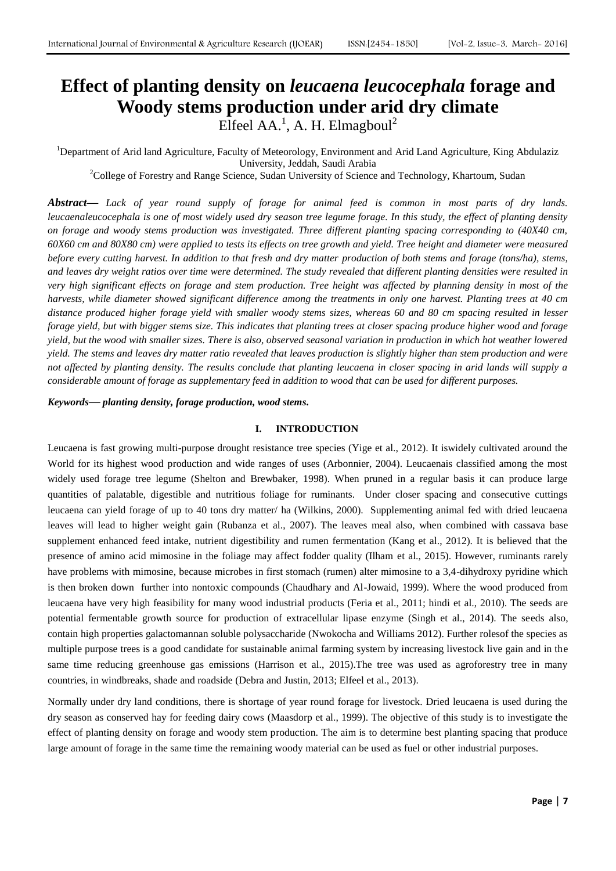# **Effect of planting density on** *leucaena leucocephala* **forage and Woody stems production under arid dry climate** Elfeel AA.<sup>1</sup>, A. H. Elmagboul<sup>2</sup>

<sup>1</sup>Department of Arid land Agriculture, Faculty of Meteorology, Environment and Arid Land Agriculture, King Abdulaziz University, Jeddah, Saudi Arabia

<sup>2</sup>College of Forestry and Range Science, Sudan University of Science and Technology, Khartoum, Sudan

*Abstract***—** *Lack of year round supply of forage for animal feed is common in most parts of dry lands. leucaenaleucocephala is one of most widely used dry season tree legume forage. In this study, the effect of planting density on forage and woody stems production was investigated. Three different planting spacing corresponding to (40X40 cm, 60X60 cm and 80X80 cm) were applied to tests its effects on tree growth and yield. Tree height and diameter were measured before every cutting harvest. In addition to that fresh and dry matter production of both stems and forage (tons/ha), stems, and leaves dry weight ratios over time were determined. The study revealed that different planting densities were resulted in very high significant effects on forage and stem production. Tree height was affected by planning density in most of the harvests, while diameter showed significant difference among the treatments in only one harvest. Planting trees at 40 cm distance produced higher forage yield with smaller woody stems sizes, whereas 60 and 80 cm spacing resulted in lesser forage yield, but with bigger stems size. This indicates that planting trees at closer spacing produce higher wood and forage yield, but the wood with smaller sizes. There is also, observed seasonal variation in production in which hot weather lowered yield. The stems and leaves dry matter ratio revealed that leaves production is slightly higher than stem production and were not affected by planting density. The results conclude that planting leucaena in closer spacing in arid lands will supply a considerable amount of forage as supplementary feed in addition to wood that can be used for different purposes.*

*Keywords***—** *planting density, forage production, wood stems.*

### **I. INTRODUCTION**

Leucaena is fast growing multi-purpose drought resistance tree species (Yige et al., 2012). It iswidely cultivated around the World for its highest wood production and wide ranges of uses (Arbonnier, 2004). Leucaenais classified among the most widely used forage tree legume (Shelton and Brewbaker, 1998). When pruned in a regular basis it can produce large quantities of palatable, digestible and nutritious foliage for ruminants. Under closer spacing and consecutive cuttings leucaena can yield forage of up to 40 tons dry matter/ ha (Wilkins, 2000). Supplementing animal fed with dried leucaena leaves will lead to higher weight gain (Rubanza et al., 2007). The leaves meal also, when combined with cassava base supplement enhanced feed intake, nutrient digestibility and rumen fermentation (Kang et al., 2012). It is believed that the presence of amino acid mimosine in the foliage may affect fodder quality (Ilham et al., 2015). However, ruminants rarely have problems with mimosine, because microbes in first stomach (rumen) alter mimosine to a 3,4-dihydroxy pyridine which is then broken down further into nontoxic compounds (Chaudhary and Al-Jowaid, 1999). Where the wood produced from leucaena have very high feasibility for many wood industrial products (Feria et al., 2011; hindi et al., 2010). The seeds are potential fermentable growth source for production of extracellular lipase enzyme (Singh et al., 2014). The seeds also, contain high properties galactomannan soluble polysaccharide (Nwokocha and Williams 2012). Further rolesof the species as multiple purpose trees is a good candidate for sustainable animal farming system by increasing livestock live gain and in the same time reducing greenhouse gas emissions (Harrison et al., 2015). The tree was used as agroforestry tree in many countries, in windbreaks, shade and roadside (Debra and Justin, 2013; Elfeel et al., 2013).

Normally under dry land conditions, there is shortage of year round forage for livestock. Dried leucaena is used during the dry season as conserved hay for feeding dairy cows (Maasdorp et al., 1999). The objective of this study is to investigate the effect of planting density on forage and woody stem production. The aim is to determine best planting spacing that produce large amount of forage in the same time the remaining woody material can be used as fuel or other industrial purposes.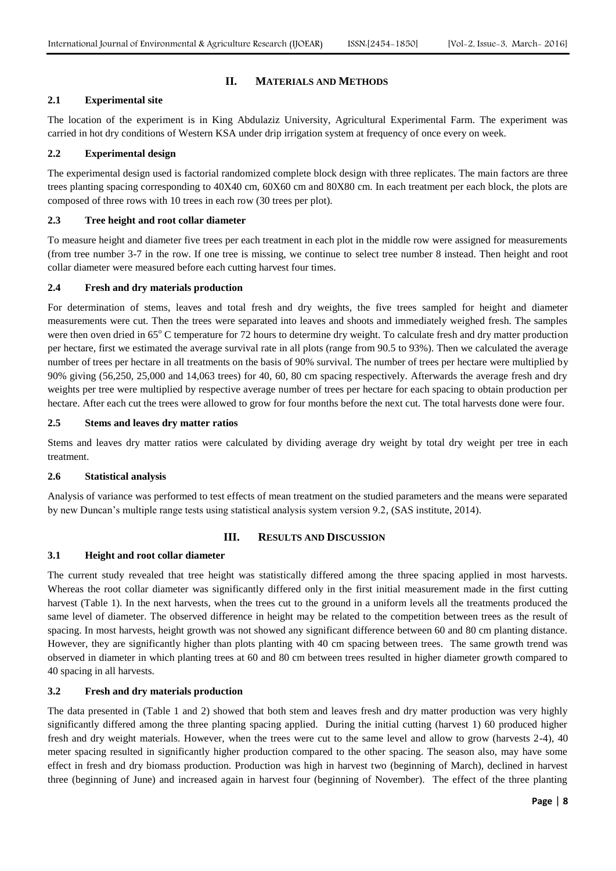# **II. MATERIALS AND METHODS**

# **2.1 Experimental site**

The location of the experiment is in King Abdulaziz University, Agricultural Experimental Farm. The experiment was carried in hot dry conditions of Western KSA under drip irrigation system at frequency of once every on week.

## **2.2 Experimental design**

The experimental design used is factorial randomized complete block design with three replicates. The main factors are three trees planting spacing corresponding to 40X40 cm, 60X60 cm and 80X80 cm. In each treatment per each block, the plots are composed of three rows with 10 trees in each row (30 trees per plot).

## **2.3 Tree height and root collar diameter**

To measure height and diameter five trees per each treatment in each plot in the middle row were assigned for measurements (from tree number 3-7 in the row. If one tree is missing, we continue to select tree number 8 instead. Then height and root collar diameter were measured before each cutting harvest four times.

#### **2.4 Fresh and dry materials production**

For determination of stems, leaves and total fresh and dry weights, the five trees sampled for height and diameter measurements were cut. Then the trees were separated into leaves and shoots and immediately weighed fresh. The samples were then oven dried in 65°C temperature for 72 hours to determine dry weight. To calculate fresh and dry matter production per hectare, first we estimated the average survival rate in all plots (range from 90.5 to 93%). Then we calculated the average number of trees per hectare in all treatments on the basis of 90% survival. The number of trees per hectare were multiplied by 90% giving (56,250, 25,000 and 14,063 trees) for 40, 60, 80 cm spacing respectively. Afterwards the average fresh and dry weights per tree were multiplied by respective average number of trees per hectare for each spacing to obtain production per hectare. After each cut the trees were allowed to grow for four months before the next cut. The total harvests done were four.

#### **2.5 Stems and leaves dry matter ratios**

Stems and leaves dry matter ratios were calculated by dividing average dry weight by total dry weight per tree in each treatment.

# **2.6 Statistical analysis**

Analysis of variance was performed to test effects of mean treatment on the studied parameters and the means were separated by new Duncan's multiple range tests using statistical analysis system version 9.2, (SAS institute, 2014).

# **III. RESULTS AND DISCUSSION**

#### **3.1 Height and root collar diameter**

The current study revealed that tree height was statistically differed among the three spacing applied in most harvests. Whereas the root collar diameter was significantly differed only in the first initial measurement made in the first cutting harvest (Table 1). In the next harvests, when the trees cut to the ground in a uniform levels all the treatments produced the same level of diameter. The observed difference in height may be related to the competition between trees as the result of spacing. In most harvests, height growth was not showed any significant difference between 60 and 80 cm planting distance. However, they are significantly higher than plots planting with 40 cm spacing between trees. The same growth trend was observed in diameter in which planting trees at 60 and 80 cm between trees resulted in higher diameter growth compared to 40 spacing in all harvests.

# **3.2 Fresh and dry materials production**

The data presented in (Table 1 and 2) showed that both stem and leaves fresh and dry matter production was very highly significantly differed among the three planting spacing applied. During the initial cutting (harvest 1) 60 produced higher fresh and dry weight materials. However, when the trees were cut to the same level and allow to grow (harvests 2-4), 40 meter spacing resulted in significantly higher production compared to the other spacing. The season also, may have some effect in fresh and dry biomass production. Production was high in harvest two (beginning of March), declined in harvest three (beginning of June) and increased again in harvest four (beginning of November). The effect of the three planting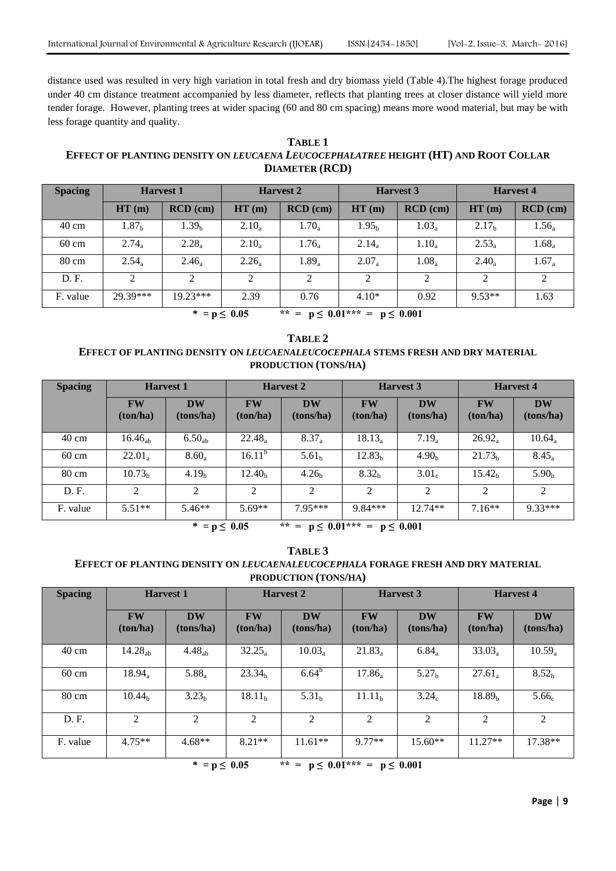distance used was resulted in very high variation in total fresh and dry biomass yield (Table 4).The highest forage produced under 40 cm distance treatment accompanied by less diameter, reflects that planting trees at closer distance will yield more tender forage. However, planting trees at wider spacing (60 and 80 cm spacing) means more wood material, but may be with less forage quantity and quality.

# **TABLE 1 EFFECT OF PLANTING DENSITY ON** *LEUCAENA LEUCOCEPHALATREE* **HEIGHT (HT) AND ROOT COLLAR DIAMETER (RCD)**

| <b>Harvest 1</b>  |                   | <b>Harvest 2</b> |                     | <b>Harvest 3</b>  |            | <b>Harvest 4</b>  |            |
|-------------------|-------------------|------------------|---------------------|-------------------|------------|-------------------|------------|
| HT(m)             | $RCD$ (cm)        | HT(m)            | $\mathbf{RCD}$ (cm) | HT(m)             | $RCD$ (cm) | HT(m)             | $RCD$ (cm) |
| 1.87 <sub>b</sub> | 1.39 <sub>b</sub> | $2.10_a$         | $1.70_a$            | 1.95 <sub>b</sub> | $1.03_a$   | 2.17 <sub>b</sub> | $1.56_a$   |
| $2.74_a$          | $2.28_a$          | $2.10_a$         | $1.76_a$            | $2.14_a$          | $1.10_a$   | $2.53_a$          | $1.68_a$   |
| $2.54_a$          | $2.46_a$          | $2.26_a$         | $1.89_a$            | $2.07_a$          | $1.08_a$   | $2.40_a$          | $1.67_a$   |
| $\mathfrak{D}$    | ◠                 |                  | 2                   | 2                 | 2          | 2                 | 2          |
| 29.39***          | $19.23***$        | 2.39             | 0.76                | $4.10*$           | 0.92       | $9.53**$          | 1.63       |
|                   |                   |                  |                     |                   |            |                   |            |

\*  $= p \le 0.05$  \*\* =  $p \le 0.01$ \*\*\* =  $p \le 0.001$ 

# **TABLE 2 EFFECT OF PLANTING DENSITY ON** *LEUCAENALEUCOCEPHALA* **STEMS FRESH AND DRY MATERIAL PRODUCTION (TONS/HA)**

| <b>Spacing</b>  | <b>Harvest 1</b>      |                        | <b>Harvest 2</b>      |                        | <b>Harvest 3</b>      |                        | <b>Harvest 4</b>      |                        |
|-----------------|-----------------------|------------------------|-----------------------|------------------------|-----------------------|------------------------|-----------------------|------------------------|
|                 | <b>FW</b><br>(ton/ha) | <b>DW</b><br>(tons/ha) | <b>FW</b><br>(ton/ha) | <b>DW</b><br>(tons/ha) | <b>FW</b><br>(ton/ha) | <b>DW</b><br>(tons/ha) | <b>FW</b><br>(ton/ha) | <b>DW</b><br>(tons/ha) |
| $40 \text{ cm}$ | $16.46_{ab}$          | $6.50_{ab}$            | $22.48_a$             | $8.37_a$               | $18.13_a$             | $7.19_a$               | $26.92_a$             | $10.64_a$              |
| $60 \text{ cm}$ | $22.01_a$             | $8.60_a$               | $16.11^{b}$           | 5.61 <sub>b</sub>      | 12.83 <sub>b</sub>    | 4.90 <sub>b</sub>      | 21.73 <sub>h</sub>    | $8.45_a$               |
| $80 \text{ cm}$ | 10.73 <sub>b</sub>    | 4.19 <sub>b</sub>      | 12.40 <sub>b</sub>    | 4.26 <sub>b</sub>      | 8.32 <sub>b</sub>     | 3.01 <sub>c</sub>      | 15.42 <sub>h</sub>    | 5.90 <sub>b</sub>      |
| D.F.            | 2                     | 2                      | 2                     | 2                      | 2                     | 2                      | 2                     | 2                      |
| F. value        | $5.51**$              | $5.46**$               | $5.69**$              | $795***$               | $9.84***$             | $12.74**$              | $7.16**$              | $9.33***$              |

\*  $= p \le 0.05$  \*\* =  $p \le 0.01$ \*\*\* =  $p \le 0.001$ 

| TABLE 3                                                                                 |
|-----------------------------------------------------------------------------------------|
| EFFECT OF PLANTING DENSITY ON <i>LEUCAENALEUCOCEPHALA</i> FORAGE FRESH AND DRY MATERIAL |
| <b>PRODUCTION (TONS/HA)</b>                                                             |

| <b>Spacing</b>                                   | <b>Harvest 1</b>      |                        | <b>Harvest 2</b>      |                        | <b>Harvest 3</b>      |                        | <b>Harvest 4</b>      |                        |  |
|--------------------------------------------------|-----------------------|------------------------|-----------------------|------------------------|-----------------------|------------------------|-----------------------|------------------------|--|
|                                                  | <b>FW</b><br>(ton/ha) | <b>DW</b><br>(tons/ha) | <b>FW</b><br>(ton/ha) | <b>DW</b><br>(tons/ha) | <b>FW</b><br>(ton/ha) | <b>DW</b><br>(tons/ha) | <b>FW</b><br>(ton/ha) | <b>DW</b><br>(tons/ha) |  |
| $40 \text{ cm}$                                  | 14.28 <sub>ab</sub>   | 4.48 <sub>ab</sub>     | $32.25_a$             | $10.03_a$              | $21.83_a$             | $6.84_a$               | $33.03_a$             | $10.59_a$              |  |
| $60 \text{ cm}$                                  | $18.94_a$             | $5.88_a$               | 23.34 <sub>h</sub>    | $6.64^{b}$             | $17.86_a$             | 5.27 <sub>b</sub>      | $27.61_a$             | 8.52 <sub>b</sub>      |  |
| $80 \text{ cm}$                                  | 10.44 <sub>h</sub>    | 3.23 <sub>b</sub>      | 18.11 <sub>b</sub>    | 5.31 <sub>b</sub>      | 11.11 <sub>b</sub>    | 3.24 <sub>c</sub>      | 18.89 <sub>b</sub>    | 5.66 <sub>c</sub>      |  |
| D.F.                                             | 2                     | 2                      | 2                     | 2                      | 2                     | 2                      | 2                     | $\overline{2}$         |  |
| F. value                                         | $4.75**$              | $4.68**$               | $8.21**$              | $11.61**$              | $9.77**$              | $15.60**$              | $11.27**$             | $17.38**$              |  |
| $** - n < 0.01*** - n < 0.001$<br>$* - n < 0.05$ |                       |                        |                       |                        |                       |                        |                       |                        |  |

 $p \leq 0.05$  \*\* =  $p \leq 0.01$ \*\*\* =  $p \leq 0.001$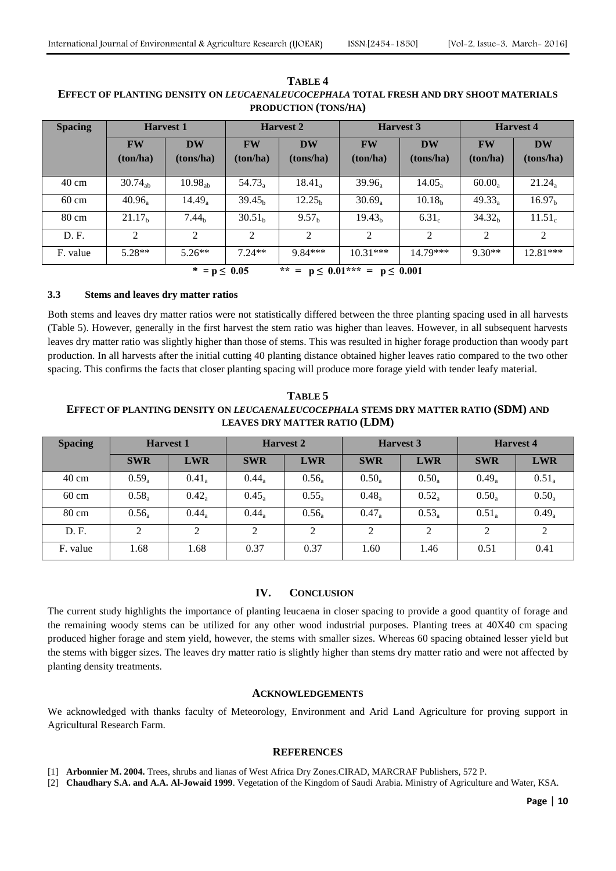| <b>Spacing</b>                                               | <b>Harvest 1</b>     |                        | <b>Harvest 2</b>     |                        | <b>Harvest 3</b>      |                        | <b>Harvest 4</b>      |                        |
|--------------------------------------------------------------|----------------------|------------------------|----------------------|------------------------|-----------------------|------------------------|-----------------------|------------------------|
|                                                              | <b>FW</b><br>ton/ha) | <b>DW</b><br>(tons/ha) | <b>FW</b><br>ton/ha) | <b>DW</b><br>(tons/ha) | <b>FW</b><br>(ton/ha) | <b>DW</b><br>(tons/ha) | <b>FW</b><br>(ton/ha) | <b>DW</b><br>(tons/ha) |
| $40 \text{ cm}$                                              | $30.74_{ab}$         | 10.98 <sub>ab</sub>    | $54.73_a$            | $18.41_a$              | $39.96_a$             | $14.05_a$              | $60.00_a$             | $21.24_a$              |
| $60 \text{ cm}$                                              | $40.96_a$            | $14.49_a$              | 39.45 <sub>h</sub>   | 12.25 <sub>h</sub>     | $30.69_a$             | 10.18 <sub>b</sub>     | $49.33_a$             | 16.97 <sub>b</sub>     |
| $80 \text{ cm}$                                              | 21.17 <sub>b</sub>   | 7.44 <sub>b</sub>      | 30.51 <sub>h</sub>   | 9.57 <sub>h</sub>      | 19.43 <sub>b</sub>    | 6.31 <sub>c</sub>      | 34.32 <sub>h</sub>    | 11.51 <sub>c</sub>     |
| D. F.                                                        | $\mathfrak{D}$       | $\mathfrak{D}$         | $\mathfrak{D}$       | $\mathfrak{D}$         | $\mathcal{L}$         | $\mathfrak{D}$         | $\mathfrak{D}$        | 2                      |
| F. value                                                     | $5.28**$             | $5.26**$               | $7.24**$             | $9.84***$              | $10.31***$            | 14.79***               | $9.30**$              | $12.81***$             |
| ** = $p \le 0.01$ *** = $p \le 0.001$<br>∗<br>$= p \le 0.05$ |                      |                        |                      |                        |                       |                        |                       |                        |

**TABLE 4 EFFECT OF PLANTING DENSITY ON** *LEUCAENALEUCOCEPHALA* **TOTAL FRESH AND DRY SHOOT MATERIALS PRODUCTION (TONS/HA)**

# **3.3 Stems and leaves dry matter ratios**

Both stems and leaves dry matter ratios were not statistically differed between the three planting spacing used in all harvests (Table 5). However, generally in the first harvest the stem ratio was higher than leaves. However, in all subsequent harvests leaves dry matter ratio was slightly higher than those of stems. This was resulted in higher forage production than woody part production. In all harvests after the initial cutting 40 planting distance obtained higher leaves ratio compared to the two other spacing. This confirms the facts that closer planting spacing will produce more forage yield with tender leafy material.

**TABLE 5 EFFECT OF PLANTING DENSITY ON** *LEUCAENALEUCOCEPHALA* **STEMS DRY MATTER RATIO (SDM) AND LEAVES DRY MATTER RATIO (LDM)**

| <b>Spacing</b>  | <b>Harvest 1</b> |            | <b>Harvest 2</b> |            | <b>Harvest 3</b> |            | <b>Harvest 4</b> |            |
|-----------------|------------------|------------|------------------|------------|------------------|------------|------------------|------------|
|                 | <b>SWR</b>       | <b>LWR</b> | <b>SWR</b>       | <b>LWR</b> | <b>SWR</b>       | <b>LWR</b> | <b>SWR</b>       | <b>LWR</b> |
| $40 \text{ cm}$ | $0.59_a$         | $0.41_a$   | 0.44             | $0.56_a$   | $0.50_a$         | $0.50_a$   | $0.49_a$         | $0.51_a$   |
| $60 \text{ cm}$ | $0.58_a$         | $0.42_a$   | 0.45             | $0.55_a$   | $0.48_a$         | $0.52_a$   | $0.50_a$         | $0.50_a$   |
| $80 \text{ cm}$ | $0.56_a$         | $0.44_a$   | $0.44_a$         | $0.56_a$   | $0.47_a$         | $0.53_a$   | $0.51_a$         | $0.49_a$   |
| D. F.           | $\mathfrak{D}$   | 2          | 2                | 2          | 2                | 2          | 2                | 2          |
| F. value        | 1.68             | 1.68       | 0.37             | 0.37       | 1.60             | 1.46       | 0.51             | 0.41       |

#### **IV. CONCLUSION**

The current study highlights the importance of planting leucaena in closer spacing to provide a good quantity of forage and the remaining woody stems can be utilized for any other wood industrial purposes. Planting trees at 40X40 cm spacing produced higher forage and stem yield, however, the stems with smaller sizes. Whereas 60 spacing obtained lesser yield but the stems with bigger sizes. The leaves dry matter ratio is slightly higher than stems dry matter ratio and were not affected by planting density treatments.

#### **ACKNOWLEDGEMENTS**

We acknowledged with thanks faculty of Meteorology, Environment and Arid Land Agriculture for proving support in Agricultural Research Farm.

#### **REFERENCES**

- [1] **Arbonnier M. 2004.** Trees, shrubs and lianas of West Africa Dry Zones.CIRAD, MARCRAF Publishers, 572 P.
- [2] **Chaudhary S.A. and A.A. Al-Jowaid 1999**. Vegetation of the Kingdom of Saudi Arabia. Ministry of Agriculture and Water, KSA.